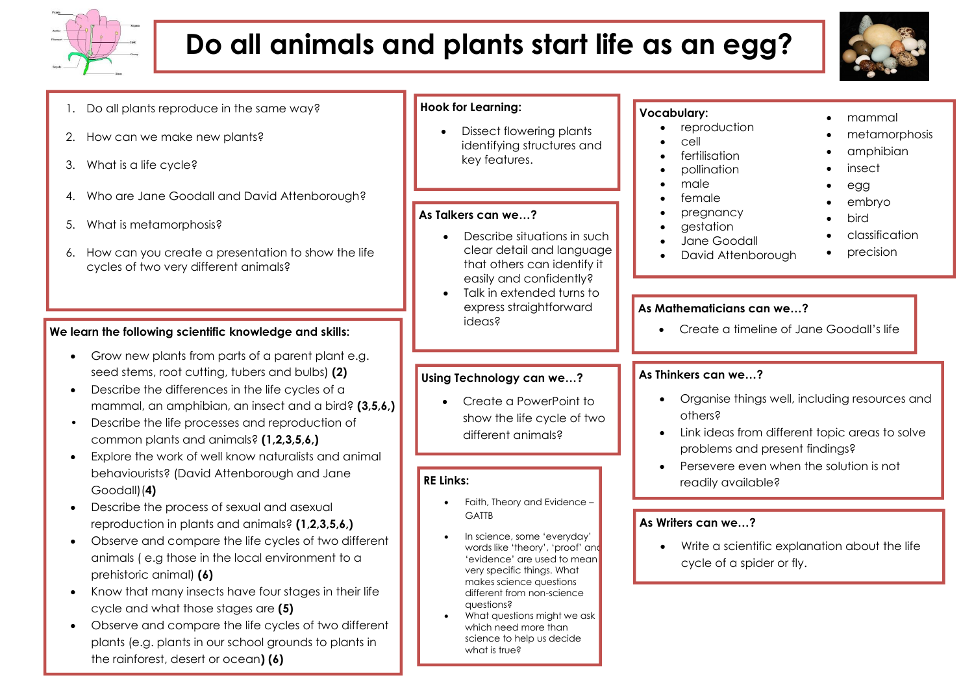

# **Do all animals and plants start life as an egg?**



| 1. Do all plants reproduce in the same way?<br>How can we make new plants?<br>2.<br>3. What is a life cycle?                                                                                                                                                                                                                                                                                                                                                                                                                                        | <b>Hook for Learning:</b><br>Dissect flowering plants<br>identifying structures and<br>key features.<br>As Talkers can we?<br>Describe situations in such<br>clear detail and language<br>that others can identify it<br>easily and confidently?<br>Talk in extended turns to<br>express straightforward<br>ideas?       | <b>Vocabulary:</b><br>mammal<br>reproduction<br>metamorphosis<br>cell<br>amphibian<br>fertilisation<br>insect<br>pollination<br>male<br>egg<br>female<br>embryo<br>pregnancy<br>bird<br>gestation<br>classification<br>Jane Goodall<br>precision<br>David Attenborough |
|-----------------------------------------------------------------------------------------------------------------------------------------------------------------------------------------------------------------------------------------------------------------------------------------------------------------------------------------------------------------------------------------------------------------------------------------------------------------------------------------------------------------------------------------------------|--------------------------------------------------------------------------------------------------------------------------------------------------------------------------------------------------------------------------------------------------------------------------------------------------------------------------|------------------------------------------------------------------------------------------------------------------------------------------------------------------------------------------------------------------------------------------------------------------------|
| 4. Who are Jane Goodall and David Attenborough?<br>What is metamorphosis?<br>5.<br>6. How can you create a presentation to show the life<br>cycles of two very different animals?                                                                                                                                                                                                                                                                                                                                                                   |                                                                                                                                                                                                                                                                                                                          |                                                                                                                                                                                                                                                                        |
| We learn the following scientific knowledge and skills:                                                                                                                                                                                                                                                                                                                                                                                                                                                                                             |                                                                                                                                                                                                                                                                                                                          | As Mathematicians can we?<br>Create a timeline of Jane Goodall's life                                                                                                                                                                                                  |
| Grow new plants from parts of a parent plant e.g.<br>seed stems, root cutting, tubers and bulbs) (2)<br>Describe the differences in the life cycles of a<br>$\bullet$<br>mammal, an amphibian, an insect and a bird? (3,5,6,)<br>Describe the life processes and reproduction of<br>common plants and animals? (1,2,3,5,6,)<br>Explore the work of well know naturalists and animal<br>$\bullet$<br>behaviourists? (David Attenborough and Jane<br>Goodall)(4)                                                                                      | Using Technology can we?<br>Create a PowerPoint to<br>show the life cycle of two<br>different animals?<br><b>RE Links:</b><br>Faith, Theory and Evidence -                                                                                                                                                               | As Thinkers can we?<br>Organise things well, including resources and<br>others?<br>Link ideas from different topic areas to solve<br>problems and present findings?<br>Persevere even when the solution is not<br>readily available?                                   |
| Describe the process of sexual and asexual<br>$\bullet$<br>reproduction in plants and animals? (1,2,3,5,6,)<br>Observe and compare the life cycles of two different<br>$\bullet$<br>animals (e.g those in the local environment to a<br>prehistoric animal) (6)<br>Know that many insects have four stages in their life<br>$\bullet$<br>cycle and what those stages are (5)<br>Observe and compare the life cycles of two different<br>$\bullet$<br>plants (e.g. plants in our school grounds to plants in<br>the rainforest, desert or ocean) (6) | <b>GATTB</b><br>In science, some 'everyday'<br>words like 'theory', 'proof' and<br>'evidence' are used to mean<br>very specific things. What<br>makes science questions<br>different from non-science<br>questions?<br>What questions might we ask<br>which need more than<br>science to help us decide<br>what is true? | As Writers can we?<br>Write a scientific explanation about the life<br>cycle of a spider or fly.                                                                                                                                                                       |